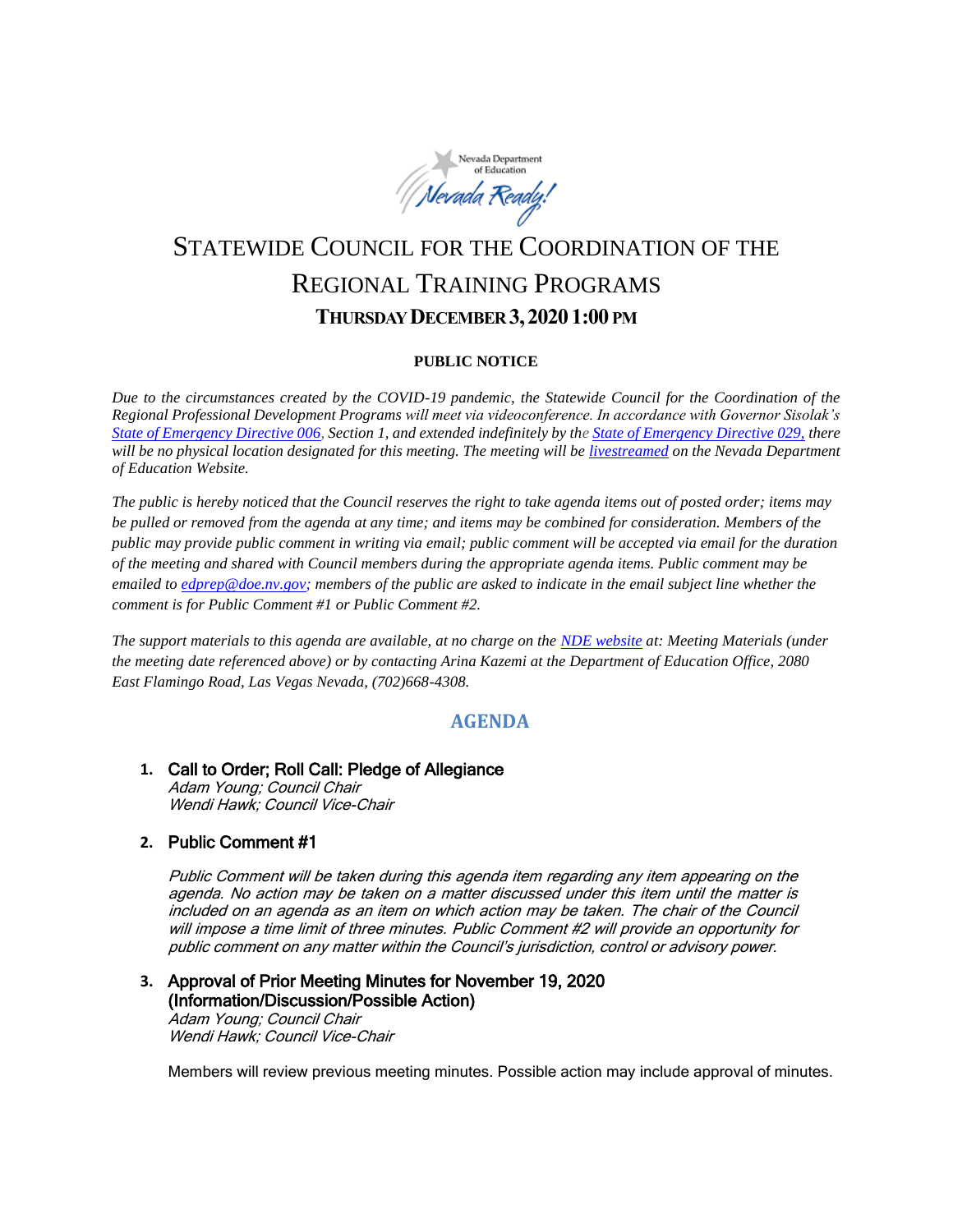

# STATEWIDE COUNCIL FOR THE COORDINATION OF THE REGIONAL TRAINING PROGRAMS **THURSDAY DECEMBER 3,20201:00 PM**

#### **PUBLIC NOTICE**

*Due to the circumstances created by the COVID-19 pandemic, the Statewide Council for the Coordination of the Regional Professional Development Programs will meet via videoconference. In accordance with Governor Sisolak's [State of Emergency Directive 006,](http://gov.nv.gov/News/Emergency_Orders/2020/2020-03-22_-_COVID-19_Declaration_of_Emergency_Directive_006/) Section 1, and extended indefinitely by th[e State of Emergency Directive 029,](http://gov.nv.gov/News/Emergency_Orders/2020/2020-06-29_-_COVID-19_Declaration_of_Emergency_Directive_026/) there will be no physical location designated for this meeting. The meeting will be [livestreamed](http://www.doe.nv.gov/Boards_Commissions_Councils/Statewide_Council_Reg_Training/Meeting_Materials/) on the Nevada Department of Education Website.*

*The public is hereby noticed that the Council reserves the right to take agenda items out of posted order; items may be pulled or removed from the agenda at any time; and items may be combined for consideration. Members of the public may provide public comment in writing via email; public comment will be accepted via email for the duration of the meeting and shared with Council members during the appropriate agenda items. Public comment may be emailed to [edprep@doe.nv.gov;](mailto:edprep@doe.nv.gov) members of the public are asked to indicate in the email subject line whether the comment is for Public Comment #1 or Public Comment #2.* 

*The support materials to this agenda are available, at no charge on the [NDE website](http://www.doe.nv.gov/Boards_Commissions_Councils/Statewide_Council_Reg_Training/Statewide_Council_for_the_Coordination_of_Regional_Training_Programs/) at: Meeting Materials (under the meeting date referenced above) or by contacting Arina Kazemi at the Department of Education Office, 2080 East Flamingo Road, Las Vegas Nevada, (702)668-4308.* 

# **AGENDA**

#### **1.** Call to Order; Roll Call: Pledge of Allegiance Adam Young; Council Chair Wendi Hawk; Council Vice-Chair

#### **2.** Public Comment #1

Public Comment will be taken during this agenda item regarding any item appearing on the agenda. No action may be taken on a matter discussed under this item until the matter is included on an agenda as an item on which action may be taken. The chair of the Council will impose a time limit of three minutes. Public Comment #2 will provide an opportunity for public comment on any matter within the Council's jurisdiction, control or advisory power.

#### **3.** Approval of Prior Meeting Minutes for November 19, 2020 (Information/Discussion/Possible Action) Adam Young; Council Chair

Wendi Hawk; Council Vice-Chair

Members will review previous meeting minutes. Possible action may include approval of minutes.